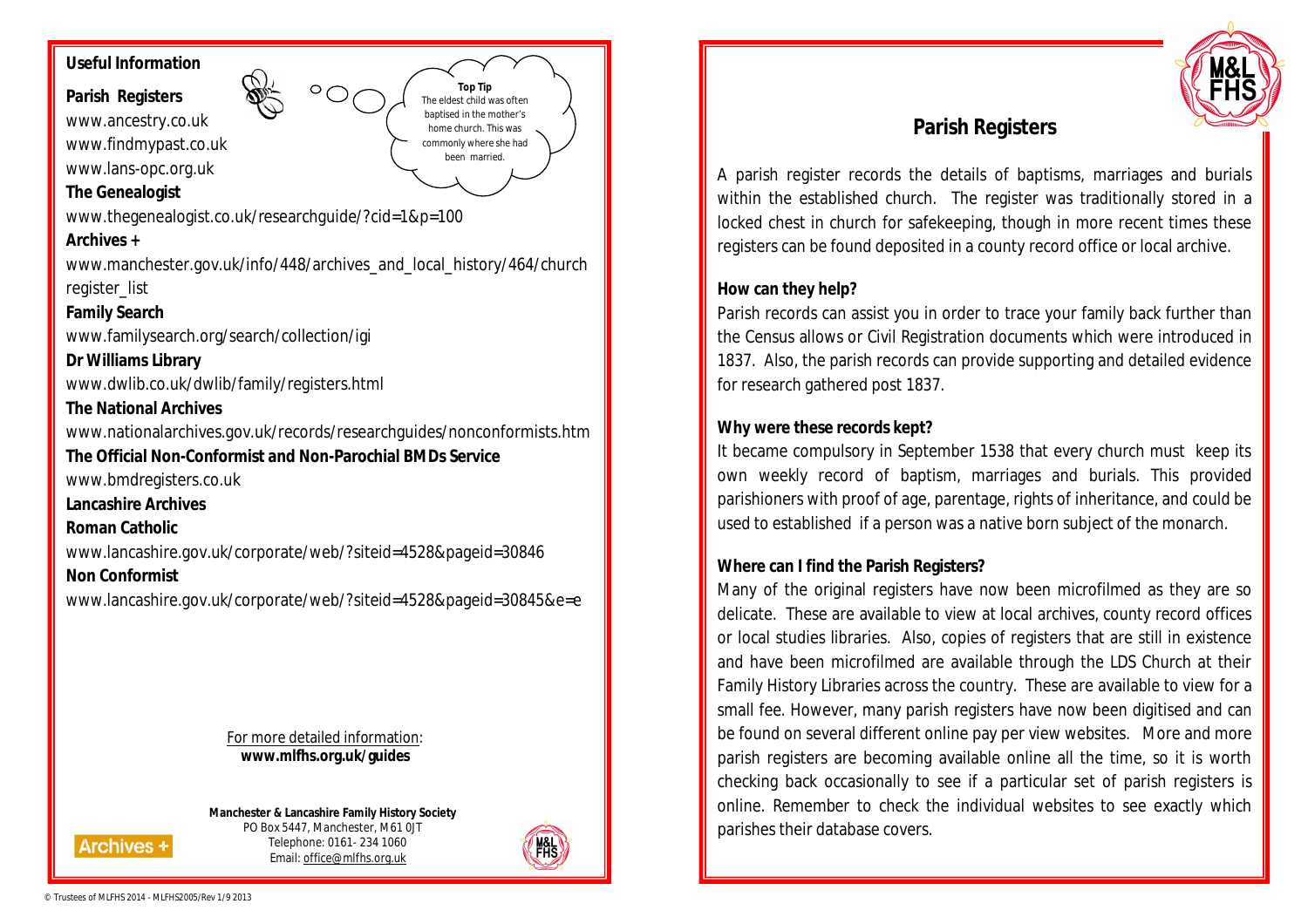# **Useful Information**

# **Parish Registers**

www.ancestry.co.uk www.findmypast.co.uk www.lans-opc.org.uk

# **The Genealogist**

www.thegenealogist.co.uk/researchguide/?cid=1&p=100

#### **Archives +**

www.manchester.gov.uk/info/448/archives\_and\_local\_history/464/church register\_list

**Top Tip** The eldest child was often baptised in the mother's home church. This was commonly where she had been married.

### **Family Search**

www.familysearch.org/search/collection/igi

**Dr Williams Library** www.dwlib.co.uk/dwlib/family/registers.html

### **The National Archives**

www.nationalarchives.gov.uk/records/researchguides/nonconformists.htm

# **The Official Non-Conformist and Non-Parochial BMDs Service**

www.bmdregisters.co.uk

**Lancashire Archives**

### **Roman Catholic**

www.lancashire.gov.uk/corporate/web/?siteid=4528&pageid=30846

# **Non Conformist**

www.lancashire.gov.uk/corporate/web/?siteid=4528&pageid=30845&e=e

For more detailed information: **www.mlfhs.org.uk/guides**

**Manchester & Lancashire Family History Society** PO Box 5447, Manchester, M61 0JT Telephone: 0161- 234 1060 Email: office@mlfhs.org.uk





# **Parish Registers**

A parish register records the details of baptisms, marriages and burials within the established church. The register was traditionally stored in a locked chest in church for safekeeping, though in more recent times these registers can be found deposited in a county record office or local archive.

### **How can they help?**

Parish records can assist you in order to trace your family back further than the Census allows or Civil Registration documents which were introduced in 1837. Also, the parish records can provide supporting and detailed evidence for research gathered post 1837.

## **Why were these records kept?**

It became compulsory in September 1538 that every church must keep its own weekly record of baptism, marriages and burials. This provided parishioners with proof of age, parentage, rights of inheritance, and could be used to established if a person was a native born subject of the monarch.

## **Where can I find the Parish Registers?**

Many of the original registers have now been microfilmed as they are so delicate. These are available to view at local archives, county record offices or local studies libraries. Also, copies of registers that are still in existence and have been microfilmed are available through the LDS Church at their Family History Libraries across the country. These are available to view for a small fee. However, many parish registers have now been digitised and can be found on several different online pay per view websites. More and more parish registers are becoming available online all the time, so it is worth checking back occasionally to see if a particular set of parish registers is online. Remember to check the individual websites to see exactly which parishes their database covers.

**Archives +**